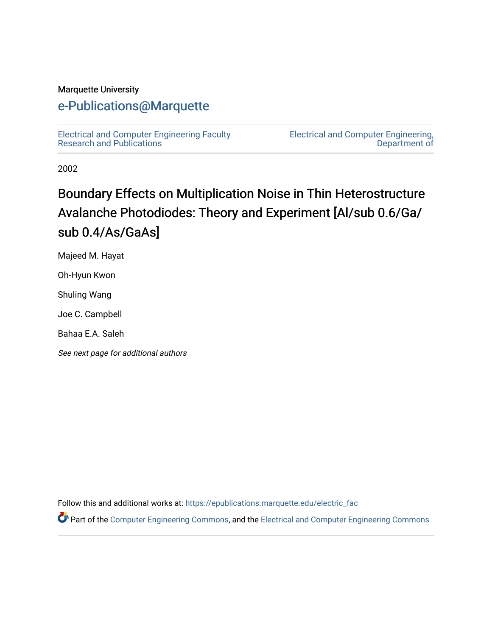#### Marquette University

## [e-Publications@Marquette](https://epublications.marquette.edu/)

[Electrical and Computer Engineering Faculty](https://epublications.marquette.edu/electric_fac) [Research and Publications](https://epublications.marquette.edu/electric_fac) 

[Electrical and Computer Engineering,](https://epublications.marquette.edu/electric)  [Department of](https://epublications.marquette.edu/electric) 

2002

# Boundary Effects on Multiplication Noise in Thin Heterostructure Avalanche Photodiodes: Theory and Experiment [Al/sub 0.6/Ga/ sub 0.4/As/GaAs]

Majeed M. Hayat

Oh-Hyun Kwon

Shuling Wang

Joe C. Campbell

Bahaa E.A. Saleh

See next page for additional authors

Follow this and additional works at: [https://epublications.marquette.edu/electric\\_fac](https://epublications.marquette.edu/electric_fac?utm_source=epublications.marquette.edu%2Felectric_fac%2F524&utm_medium=PDF&utm_campaign=PDFCoverPages) 

Part of the [Computer Engineering Commons,](http://network.bepress.com/hgg/discipline/258?utm_source=epublications.marquette.edu%2Felectric_fac%2F524&utm_medium=PDF&utm_campaign=PDFCoverPages) and the [Electrical and Computer Engineering Commons](http://network.bepress.com/hgg/discipline/266?utm_source=epublications.marquette.edu%2Felectric_fac%2F524&utm_medium=PDF&utm_campaign=PDFCoverPages)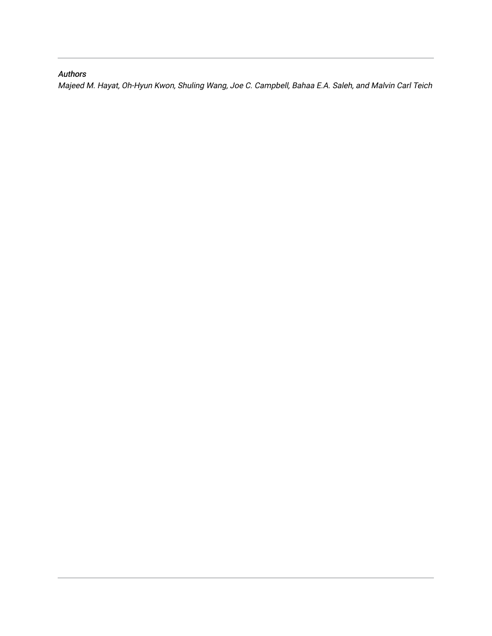#### Authors

Majeed M. Hayat, Oh-Hyun Kwon, Shuling Wang, Joe C. Campbell, Bahaa E.A. Saleh, and Malvin Carl Teich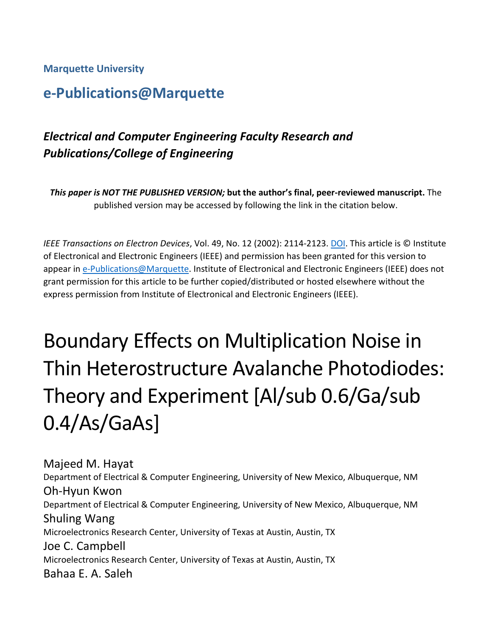**Marquette University**

# **e-Publications@Marquette**

## *Electrical and Computer Engineering Faculty Research and Publications/College of Engineering*

*This paper is NOT THE PUBLISHED VERSION;* **but the author's final, peer-reviewed manuscript.** The published version may be accessed by following the link in the citation below.

*IEEE Transactions on Electron Devices*, Vol. 49, No. 12 (2002): 2114-2123. [DOI.](https://dx.doi.org/10.1109/TED.2002.805573) This article is © Institute of Electronical and Electronic Engineers (IEEE) and permission has been granted for this version to appear i[n e-Publications@Marquette.](http://epublications.marquette.edu/) Institute of Electronical and Electronic Engineers (IEEE) does not grant permission for this article to be further copied/distributed or hosted elsewhere without the express permission from Institute of Electronical and Electronic Engineers (IEEE).

# Boundary Effects on Multiplication Noise in Thin Heterostructure Avalanche Photodiodes: Theory and Experiment [Al/sub 0.6/Ga/sub 0.4/As/GaAs]

Majeed M. Hayat Department of Electrical & Computer Engineering, University of New Mexico, Albuquerque, NM Oh-Hyun Kwon Department of Electrical & Computer Engineering, University of New Mexico, Albuquerque, NM Shuling Wang Microelectronics Research Center, University of Texas at Austin, Austin, TX Joe C. Campbell Microelectronics Research Center, University of Texas at Austin, Austin, TX Bahaa E. A. Saleh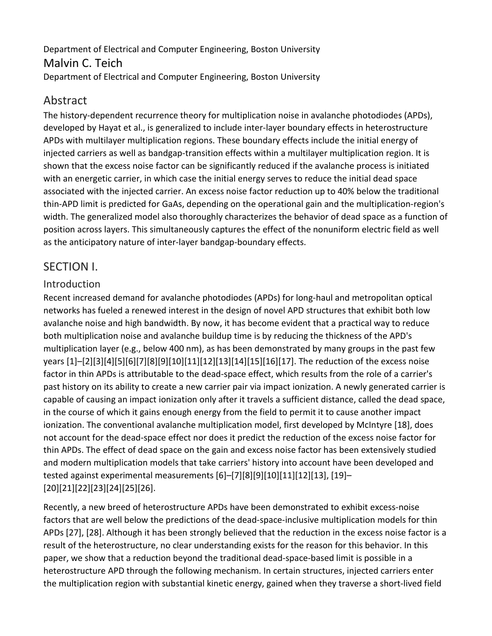## Department of Electrical and Computer Engineering, Boston University Malvin C. Teich Department of Electrical and Computer Engineering, Boston University

## Abstract

The history-dependent recurrence theory for multiplication noise in avalanche photodiodes (APDs), developed by Hayat et al., is generalized to include inter-layer boundary effects in heterostructure APDs with multilayer multiplication regions. These boundary effects include the initial energy of injected carriers as well as bandgap-transition effects within a multilayer multiplication region. It is shown that the excess noise factor can be significantly reduced if the avalanche process is initiated with an energetic carrier, in which case the initial energy serves to reduce the initial dead space associated with the injected carrier. An excess noise factor reduction up to 40% below the traditional thin-APD limit is predicted for GaAs, depending on the operational gain and the multiplication-region's width. The generalized model also thoroughly characterizes the behavior of dead space as a function of position across layers. This simultaneously captures the effect of the nonuniform electric field as well as the anticipatory nature of inter-layer bandgap-boundary effects.

## SECTION I.

## Introduction

Recent increased demand for avalanche photodiodes (APDs) for long-haul and metropolitan optical networks has fueled a renewed interest in the design of novel APD structures that exhibit both low avalanche noise and high bandwidth. By now, it has become evident that a practical way to reduce both multiplication noise and avalanche buildup time is by reducing the thickness of the APD's multiplication layer (e.g., below 400 nm), as has been demonstrated by many groups in the past few years [1]–[2][3][4][5][6][7][8][9][10][11][12][13][14][15][16][17]. The reduction of the excess noise factor in thin APDs is attributable to the dead-space effect, which results from the role of a carrier's past history on its ability to create a new carrier pair via impact ionization. A newly generated carrier is capable of causing an impact ionization only after it travels a sufficient distance, called the dead space, in the course of which it gains enough energy from the field to permit it to cause another impact ionization. The conventional avalanche multiplication model, first developed by McIntyre [18], does not account for the dead-space effect nor does it predict the reduction of the excess noise factor for thin APDs. The effect of dead space on the gain and excess noise factor has been extensively studied and modern multiplication models that take carriers' history into account have been developed and tested against experimental measurements [6]–[7][8][9][10][11][12][13], [19]– [20][21][22][23][24][25][26].

Recently, a new breed of heterostructure APDs have been demonstrated to exhibit excess-noise factors that are well below the predictions of the dead-space-inclusive multiplication models for thin APDs [27], [28]. Although it has been strongly believed that the reduction in the excess noise factor is a result of the heterostructure, no clear understanding exists for the reason for this behavior. In this paper, we show that a reduction beyond the traditional dead-space-based limit is possible in a heterostructure APD through the following mechanism. In certain structures, injected carriers enter the multiplication region with substantial kinetic energy, gained when they traverse a short-lived field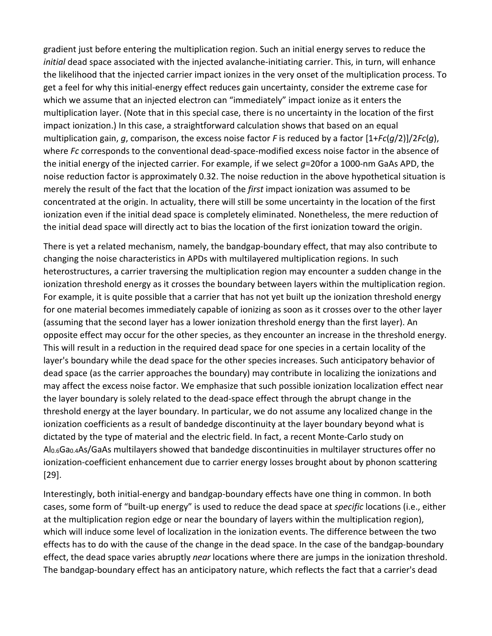gradient just before entering the multiplication region. Such an initial energy serves to reduce the *initial* dead space associated with the injected avalanche-initiating carrier. This, in turn, will enhance the likelihood that the injected carrier impact ionizes in the very onset of the multiplication process. To get a feel for why this initial-energy effect reduces gain uncertainty, consider the extreme case for which we assume that an injected electron can "immediately" impact ionize as it enters the multiplication layer. (Note that in this special case, there is no uncertainty in the location of the first impact ionization.) In this case, a straightforward calculation shows that based on an equal multiplication gain, *g*, comparison, the excess noise factor *F* is reduced by a factor [1+*Fc*(*g*/2)]/2*Fc*(*g*), where *Fc* corresponds to the conventional dead-space-modified excess noise factor in the absence of the initial energy of the injected carrier. For example, if we select *g*=20for a 1000-nm GaAs APD, the noise reduction factor is approximately 0.32. The noise reduction in the above hypothetical situation is merely the result of the fact that the location of the *first* impact ionization was assumed to be concentrated at the origin. In actuality, there will still be some uncertainty in the location of the first ionization even if the initial dead space is completely eliminated. Nonetheless, the mere reduction of the initial dead space will directly act to bias the location of the first ionization toward the origin.

There is yet a related mechanism, namely, the bandgap-boundary effect, that may also contribute to changing the noise characteristics in APDs with multilayered multiplication regions. In such heterostructures, a carrier traversing the multiplication region may encounter a sudden change in the ionization threshold energy as it crosses the boundary between layers within the multiplication region. For example, it is quite possible that a carrier that has not yet built up the ionization threshold energy for one material becomes immediately capable of ionizing as soon as it crosses over to the other layer (assuming that the second layer has a lower ionization threshold energy than the first layer). An opposite effect may occur for the other species, as they encounter an increase in the threshold energy. This will result in a reduction in the required dead space for one species in a certain locality of the layer's boundary while the dead space for the other species increases. Such anticipatory behavior of dead space (as the carrier approaches the boundary) may contribute in localizing the ionizations and may affect the excess noise factor. We emphasize that such possible ionization localization effect near the layer boundary is solely related to the dead-space effect through the abrupt change in the threshold energy at the layer boundary. In particular, we do not assume any localized change in the ionization coefficients as a result of bandedge discontinuity at the layer boundary beyond what is dictated by the type of material and the electric field. In fact, a recent Monte-Carlo study on Al<sub>0.6</sub>Ga<sub>0.4</sub>As/GaAs multilayers showed that bandedge discontinuities in multilayer structures offer no ionization-coefficient enhancement due to carrier energy losses brought about by phonon scattering [29].

Interestingly, both initial-energy and bandgap-boundary effects have one thing in common. In both cases, some form of "built-up energy" is used to reduce the dead space at *specific* locations (i.e., either at the multiplication region edge or near the boundary of layers within the multiplication region), which will induce some level of localization in the ionization events. The difference between the two effects has to do with the cause of the change in the dead space. In the case of the bandgap-boundary effect, the dead space varies abruptly *near* locations where there are jumps in the ionization threshold. The bandgap-boundary effect has an anticipatory nature, which reflects the fact that a carrier's dead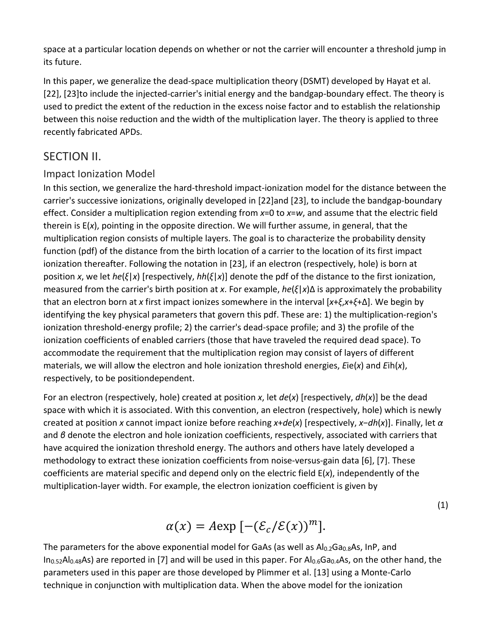space at a particular location depends on whether or not the carrier will encounter a threshold jump in its future.

In this paper, we generalize the dead-space multiplication theory (DSMT) developed by Hayat et al. [22], [23] to include the injected-carrier's initial energy and the bandgap-boundary effect. The theory is used to predict the extent of the reduction in the excess noise factor and to establish the relationship between this noise reduction and the width of the multiplication layer. The theory is applied to three recently fabricated APDs.

## SECTION II.

## Impact Ionization Model

In this section, we generalize the hard-threshold impact-ionization model for the distance between the carrier's successive ionizations, originally developed in [22]and [23], to include the bandgap-boundary effect. Consider a multiplication region extending from *x*=0 to *x*=*w*, and assume that the electric field therein is E(*x*), pointing in the opposite direction. We will further assume, in general, that the multiplication region consists of multiple layers. The goal is to characterize the probability density function (pdf) of the distance from the birth location of a carrier to the location of its first impact ionization thereafter. Following the notation in [23], if an electron (respectively, hole) is born at position *x*, we let *he*(*ξ*|*x*) [respectively, *hh*(*ξ*|*x*)] denote the pdf of the distance to the first ionization, measured from the carrier's birth position at *x*. For example, *he*(*ξ*|*x*)Δ is approximately the probability that an electron born at *x* first impact ionizes somewhere in the interval [*x*+*ξ*,*x*+*ξ*+Δ]. We begin by identifying the key physical parameters that govern this pdf. These are: 1) the multiplication-region's ionization threshold-energy profile; 2) the carrier's dead-space profile; and 3) the profile of the ionization coefficients of enabled carriers (those that have traveled the required dead space). To accommodate the requirement that the multiplication region may consist of layers of different materials, we will allow the electron and hole ionization threshold energies, *E*ie(*x*) and *E*ih(*x*), respectively, to be positiondependent.

For an electron (respectively, hole) created at position *x*, let *de*(*x*) [respectively, *dh*(*x*)] be the dead space with which it is associated. With this convention, an electron (respectively, hole) which is newly created at position *x* cannot impact ionize before reaching *x*+*de*(*x*) [respectively, *x*−*dh*(*x*)]. Finally, let *α* and *β* denote the electron and hole ionization coefficients, respectively, associated with carriers that have acquired the ionization threshold energy. The authors and others have lately developed a methodology to extract these ionization coefficients from noise-versus-gain data [6], [7]. These coefficients are material specific and depend only on the electric field E(*x*), independently of the multiplication-layer width. For example, the electron ionization coefficient is given by

(1)

$$
\alpha(x) = A \exp \left[ -(\mathcal{E}_c/\mathcal{E}(x))^m \right].
$$

The parameters for the above exponential model for GaAs (as well as  $Al_{0.2}Ga_{0.8}As$ , InP, and In<sub>0.52</sub>Al<sub>0.48</sub>As) are reported in [7] and will be used in this paper. For Al<sub>0.6</sub>Ga<sub>0.4</sub>As, on the other hand, the parameters used in this paper are those developed by Plimmer et al. [13] using a Monte-Carlo technique in conjunction with multiplication data. When the above model for the ionization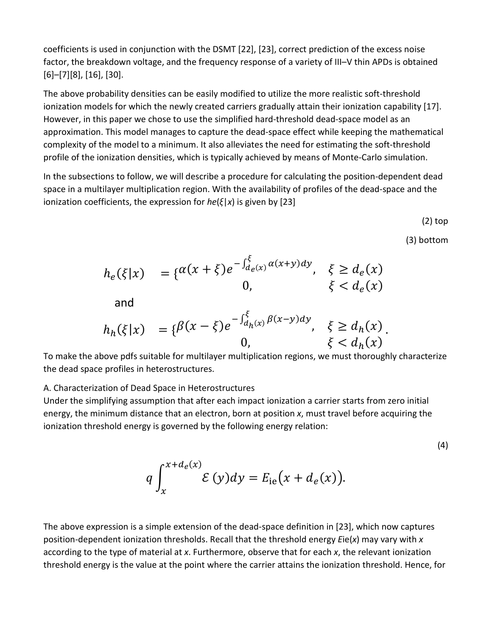coefficients is used in conjunction with the DSMT [22], [23], correct prediction of the excess noise factor, the breakdown voltage, and the frequency response of a variety of III–V thin APDs is obtained [6]–[7][8], [16], [30].

The above probability densities can be easily modified to utilize the more realistic soft-threshold ionization models for which the newly created carriers gradually attain their ionization capability [17]. However, in this paper we chose to use the simplified hard-threshold dead-space model as an approximation. This model manages to capture the dead-space effect while keeping the mathematical complexity of the model to a minimum. It also alleviates the need for estimating the soft-threshold profile of the ionization densities, which is typically achieved by means of Monte-Carlo simulation.

In the subsections to follow, we will describe a procedure for calculating the position-dependent dead space in a multilayer multiplication region. With the availability of profiles of the dead-space and the ionization coefficients, the expression for *he*(*ξ*|*x*) is given by [23]

(2) top

(3) bottom

.

$$
h_e(\xi|x) = \{a(x+\xi)e^{-\int_{de(x)}^{\xi} a(x+y)dy}, \xi \ge d_e(x)
$$
  
and  

$$
h_h(\xi|x) = \{b(x-\xi)e^{-\int_{d_h(x)}^{\xi} b(x-y)dy}, \xi \ge d_h(x)
$$

0,  $\xi < d_h(x)$ To make the above pdfs suitable for multilayer multiplication regions, we must thoroughly characterize the dead space profiles in heterostructures.

#### A. Characterization of Dead Space in Heterostructures

Under the simplifying assumption that after each impact ionization a carrier starts from zero initial energy, the minimum distance that an electron, born at position *x*, must travel before acquiring the ionization threshold energy is governed by the following energy relation:

(4)

$$
q \int_{x}^{x+d_e(x)} \mathcal{E}(y) dy = E_{\rm ie}(x+d_e(x)).
$$

The above expression is a simple extension of the dead-space definition in [23], which now captures position-dependent ionization thresholds. Recall that the threshold energy *E*ie(*x*) may vary with *x* according to the type of material at *x*. Furthermore, observe that for each *x*, the relevant ionization threshold energy is the value at the point where the carrier attains the ionization threshold. Hence, for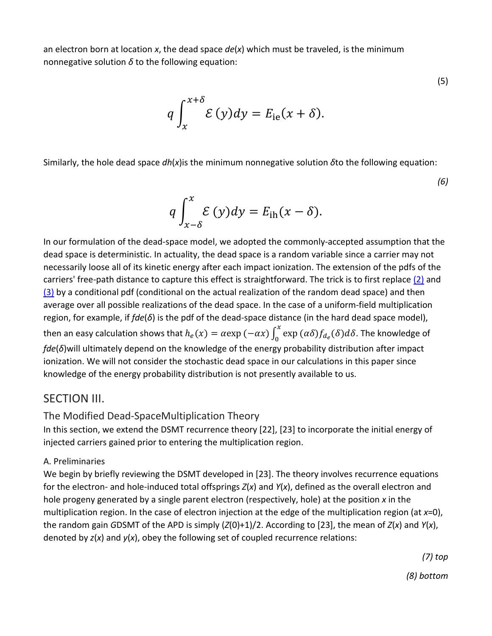an electron born at location *x*, the dead space *de*(*x*) which must be traveled, is the minimum nonnegative solution *δ* to the following equation:

$$
q \int_{x}^{x+\delta} \mathcal{E}(y) dy = E_{\text{ie}}(x+\delta).
$$

Similarly, the hole dead space *dh*(*x*)is the minimum nonnegative solution *δ*to the following equation:

*(6)*

(5)

$$
q\int_{x-\delta}^{x}\mathcal{E}(y)dy = E_{\text{ih}}(x-\delta).
$$

In our formulation of the dead-space model, we adopted the commonly-accepted assumption that the dead space is deterministic. In actuality, the dead space is a random variable since a carrier may not necessarily loose all of its kinetic energy after each impact ionization. The extension of the pdfs of the carriers' free-path distance to capture this effect is straightforward. The trick is to first replace [\(2\)](https://ieeexplore.ieee.org/document/#deqn2-3) and [\(3\)](https://ieeexplore.ieee.org/document/#deqn2-3) by a conditional pdf (conditional on the actual realization of the random dead space) and then average over all possible realizations of the dead space. In the case of a uniform-field multiplication region, for example, if *fde*(*δ*) is the pdf of the dead-space distance (in the hard dead space model), then an easy calculation shows that  $h_e(x) = \alpha \exp(-\alpha x) \int_0^x \exp(\alpha \delta) f_{d_e}(\delta) d\delta$ . The knowledge of *fde*(*δ*)will ultimately depend on the knowledge of the energy probability distribution after impact ionization. We will not consider the stochastic dead space in our calculations in this paper since knowledge of the energy probability distribution is not presently available to us.

## SECTION III.

## The Modified Dead-SpaceMultiplication Theory

In this section, we extend the DSMT recurrence theory [22], [23] to incorporate the initial energy of injected carriers gained prior to entering the multiplication region.

#### A. Preliminaries

We begin by briefly reviewing the DSMT developed in [23]. The theory involves recurrence equations for the electron- and hole-induced total offsprings *Z*(*x*) and *Y*(*x*), defined as the overall electron and hole progeny generated by a single parent electron (respectively, hole) at the position *x* in the multiplication region. In the case of electron injection at the edge of the multiplication region (at *x*=0), the random gain *G*DSMT of the APD is simply (*Z*(0)+1)/2. According to [23], the mean of *Z*(*x*) and *Y*(*x*), denoted by *z*(*x*) and *y*(*x*), obey the following set of coupled recurrence relations:

> *(7) top (8) bottom*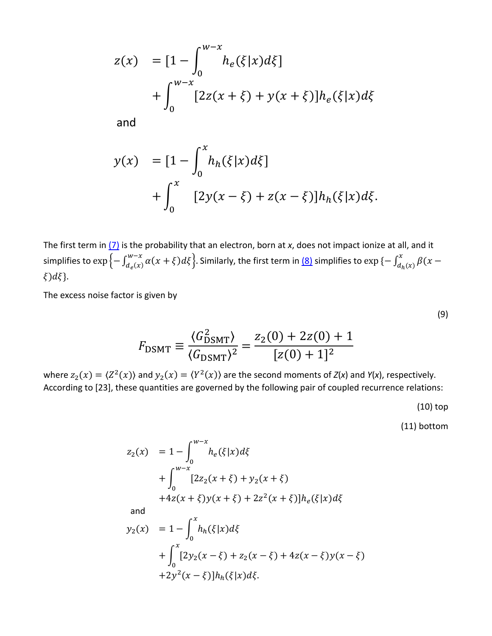$$
z(x) = [1 - \int_0^{w-x} h_e(\xi|x) d\xi] + \int_0^{w-x} [2z(x+\xi) + y(x+\xi)] h_e(\xi|x) d\xi
$$

and

$$
y(x) = [1 - \int_0^x h_h(\xi|x) d\xi] + \int_0^x [2y(x - \xi) + z(x - \xi)]h_h(\xi|x) d\xi.
$$

The first term in [\(7\)](https://ieeexplore.ieee.org/document/#deqn7-8) is the probability that an electron, born at *x*, does not impact ionize at all, and it simplifies to  $\exp\left\{-\int_{d_e(x)}^{w-x}\alpha(x+\xi)d\xi\right\}$ . Similarly, the first term in <u>(8)</u> simplifies to  $\exp\left\{-\int_{d_h(x)}^x\beta(x-\xi)d\xi\right\}$  $\xi$ ) $d\xi$ .

The excess noise factor is given by

$$
F_{\text{DSMT}} \equiv \frac{\langle G_{\text{DSMT}}^2 \rangle}{\langle G_{\text{DSMT}} \rangle^2} = \frac{z_2(0) + 2z(0) + 1}{[z(0) + 1]^2}
$$

where  $z_2(x) = \langle Z^2(x) \rangle$  and  $y_2(x) = \langle Y^2(x) \rangle$  are the second moments of  $Z(x)$  and  $Y(x)$ , respectively. According to [23], these quantities are governed by the following pair of coupled recurrence relations:

(10) top

(9)

(11) bottom

$$
z_2(x) = 1 - \int_0^{w-x} h_e(\xi|x) d\xi
$$
  
+ 
$$
\int_0^{w-x} [2z_2(x+\xi) + y_2(x+\xi)
$$
  
+ 
$$
4z(x+\xi)y(x+\xi) + 2z^2(x+\xi)]h_e(\xi|x) d\xi
$$

and

$$
y_2(x) = 1 - \int_0^x h_h(\xi|x) d\xi
$$
  
+ 
$$
\int_0^x [2y_2(x - \xi) + z_2(x - \xi) + 4z(x - \xi)y(x - \xi)
$$
  
+ 
$$
2y^2(x - \xi)]h_h(\xi|x) d\xi.
$$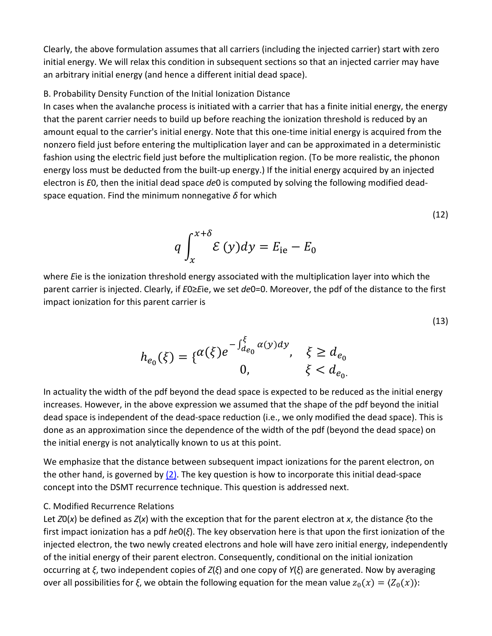Clearly, the above formulation assumes that all carriers (including the injected carrier) start with zero initial energy. We will relax this condition in subsequent sections so that an injected carrier may have an arbitrary initial energy (and hence a different initial dead space).

#### B. Probability Density Function of the Initial Ionization Distance

In cases when the avalanche process is initiated with a carrier that has a finite initial energy, the energy that the parent carrier needs to build up before reaching the ionization threshold is reduced by an amount equal to the carrier's initial energy. Note that this one-time initial energy is acquired from the nonzero field just before entering the multiplication layer and can be approximated in a deterministic fashion using the electric field just before the multiplication region. (To be more realistic, the phonon energy loss must be deducted from the built-up energy.) If the initial energy acquired by an injected electron is *E*0, then the initial dead space *de*0 is computed by solving the following modified deadspace equation. Find the minimum nonnegative *δ* for which

$$
q \int_{x}^{x+\delta} \mathcal{E}(y) dy = E_{\text{ie}} - E_{0}
$$

(12)

(13)

where *E*ie is the ionization threshold energy associated with the multiplication layer into which the parent carrier is injected. Clearly, if *E*0≥*E*ie, we set *de*0=0. Moreover, the pdf of the distance to the first impact ionization for this parent carrier is

$$
h_{e_0}(\xi) = \{ \begin{matrix} \alpha(\xi)e^{-\int_{de_0}^{\xi} \alpha(y)dy}, & \xi \ge d_{e_0} \\ 0, & \xi & d_{e_0} \end{matrix}
$$

In actuality the width of the pdf beyond the dead space is expected to be reduced as the initial energy increases. However, in the above expression we assumed that the shape of the pdf beyond the initial dead space is independent of the dead-space reduction (i.e., we only modified the dead space). This is done as an approximation since the dependence of the width of the pdf (beyond the dead space) on the initial energy is not analytically known to us at this point.

We emphasize that the distance between subsequent impact ionizations for the parent electron, on the other hand, is governed by  $(2)$ . The key question is how to incorporate this initial dead-space concept into the DSMT recurrence technique. This question is addressed next.

#### C. Modified Recurrence Relations

Let *Z*0(*x*) be defined as *Z*(*x*) with the exception that for the parent electron at *x*, the distance *ξ*to the first impact ionization has a pdf *he*0(*ξ*). The key observation here is that upon the first ionization of the injected electron, the two newly created electrons and hole will have zero initial energy, independently of the initial energy of their parent electron. Consequently, conditional on the initial ionization occurring at *ξ*, two independent copies of *Z*(*ξ*) and one copy of *Y*(*ξ*) are generated. Now by averaging over all possibilities for *ξ*, we obtain the following equation for the mean value  $z_0(x) = \langle Z_0(x) \rangle$ :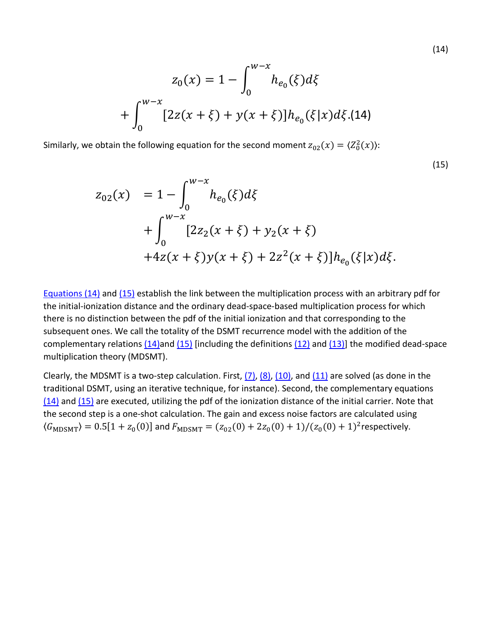$$
z_0(x) = 1 - \int_0^{w-x} h_{e_0}(\xi) d\xi
$$
  
+ 
$$
\int_0^{w-x} [2z(x+\xi) + y(x+\xi)] h_{e_0}(\xi|x) d\xi.(14)
$$

Similarly, we obtain the following equation for the second moment  $z_{02}(x) = \langle Z_0^2(x) \rangle$ :

$$
z_{02}(x) = 1 - \int_0^{w-x} h_{e_0}(\xi) d\xi
$$
  
+ 
$$
\int_0^{w-x} [2z_2(x+\xi) + y_2(x+\xi)
$$
  
+ 
$$
4z(x+\xi)y(x+\xi) + 2z^2(x+\xi)]h_{e_0}(\xi|x) d\xi.
$$

[Equations \(14\)](https://ieeexplore.ieee.org/document/#deqn14) and [\(15\)](https://ieeexplore.ieee.org/document/#deqn15) establish the link between the multiplication process with an arbitrary pdf for the initial-ionization distance and the ordinary dead-space-based multiplication process for which there is no distinction between the pdf of the initial ionization and that corresponding to the subsequent ones. We call the totality of the DSMT recurrence model with the addition of the complementary relations  $(14)$  and  $(15)$  [including the definitions  $(12)$  and  $(13)$ ] the modified dead-space multiplication theory (MDSMT).

Clearly, the MDSMT is a two-step calculation. First,  $(7)$ ,  $(8)$ ,  $(10)$ , and  $(11)$  are solved (as done in the traditional DSMT, using an iterative technique, for instance). Second, the complementary equations [\(14\)](https://ieeexplore.ieee.org/document/#deqn14) and [\(15\)](https://ieeexplore.ieee.org/document/#deqn15) are executed, utilizing the pdf of the ionization distance of the initial carrier. Note that the second step is a one-shot calculation. The gain and excess noise factors are calculated using  $\langle G_{\text{MDSMT}} \rangle = 0.5[1 + z_0(0)]$  and  $F_{\text{MDSMT}} = (z_{02}(0) + 2z_0(0) + 1)/(z_0(0) + 1)^2$  respectively.

(15)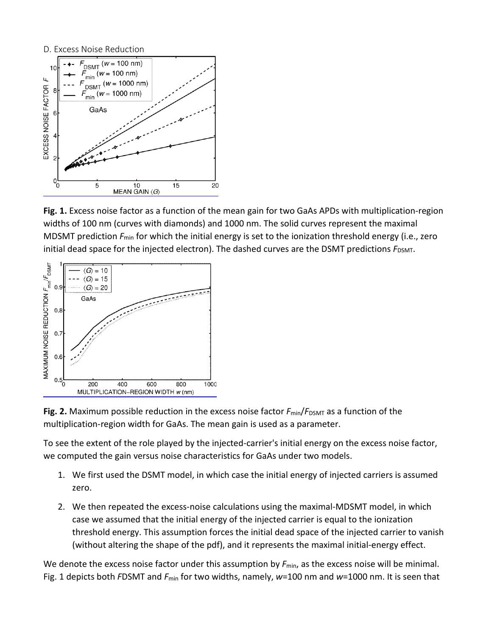

**Fig. 1.** Excess noise factor as a function of the mean gain for two GaAs APDs with multiplication-region widths of 100 nm (curves with diamonds) and 1000 nm. The solid curves represent the maximal MDSMT prediction  $F_{min}$  for which the initial energy is set to the ionization threshold energy (i.e., zero initial dead space for the injected electron). The dashed curves are the DSMT predictions  $F_{DSMT}$ .





To see the extent of the role played by the injected-carrier's initial energy on the excess noise factor, we computed the gain versus noise characteristics for GaAs under two models.

- 1. We first used the DSMT model, in which case the initial energy of injected carriers is assumed zero.
- 2. We then repeated the excess-noise calculations using the maximal-MDSMT model, in which case we assumed that the initial energy of the injected carrier is equal to the ionization threshold energy. This assumption forces the initial dead space of the injected carrier to vanish (without altering the shape of the pdf), and it represents the maximal initial-energy effect.

We denote the excess noise factor under this assumption by  $F_{\text{min}}$ , as the excess noise will be minimal. Fig. 1 depicts both *F*DSMT and *F*min for two widths, namely, *w*=100 nm and *w*=1000 nm. It is seen that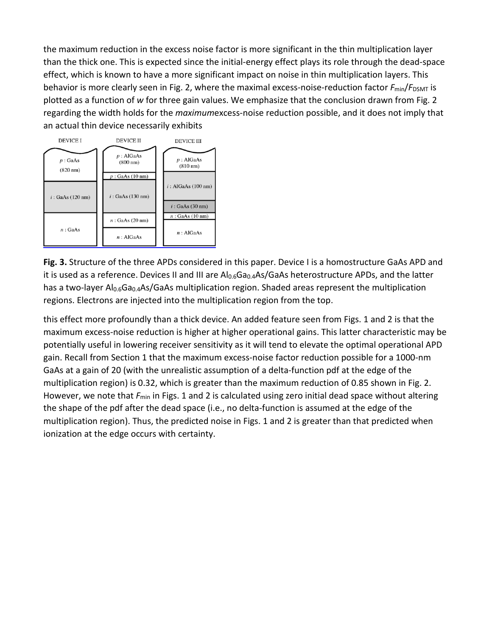the maximum reduction in the excess noise factor is more significant in the thin multiplication layer than the thick one. This is expected since the initial-energy effect plays its role through the dead-space effect, which is known to have a more significant impact on noise in thin multiplication layers. This behavior is more clearly seen in Fig. 2, where the maximal excess-noise-reduction factor  $F_{min}/F_{DSMT}$  is plotted as a function of *w* for three gain values. We emphasize that the conclusion drawn from Fig. 2 regarding the width holds for the *maximum*excess-noise reduction possible, and it does not imply that an actual thin device necessarily exhibits



**Fig. 3.** Structure of the three APDs considered in this paper. Device I is a homostructure GaAs APD and it is used as a reference. Devices II and III are Al<sub>0.6</sub>Ga<sub>0.4</sub>As/GaAs heterostructure APDs, and the latter has a two-layer  $Al_{0.6}Ga_{0.4}As/GaAs$  multiplication region. Shaded areas represent the multiplication regions. Electrons are injected into the multiplication region from the top.

this effect more profoundly than a thick device. An added feature seen from Figs. 1 and 2 is that the maximum excess-noise reduction is higher at higher operational gains. This latter characteristic may be potentially useful in lowering receiver sensitivity as it will tend to elevate the optimal operational APD gain. Recall from Section 1 that the maximum excess-noise factor reduction possible for a 1000-nm GaAs at a gain of 20 (with the unrealistic assumption of a delta-function pdf at the edge of the multiplication region) is 0.32, which is greater than the maximum reduction of 0.85 shown in Fig. 2. However, we note that  $F_{\text{min}}$  in Figs. 1 and 2 is calculated using zero initial dead space without altering the shape of the pdf after the dead space (i.e., no delta-function is assumed at the edge of the multiplication region). Thus, the predicted noise in Figs. 1 and 2 is greater than that predicted when ionization at the edge occurs with certainty.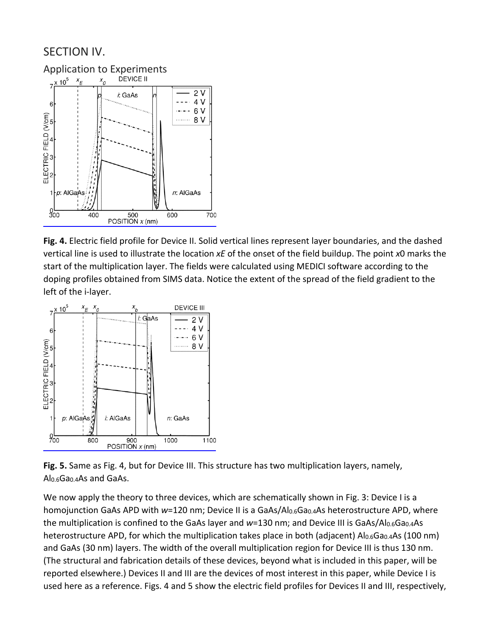## SECTION IV.



**Fig. 4.** Electric field profile for Device II. Solid vertical lines represent layer boundaries, and the dashed vertical line is used to illustrate the location *xE* of the onset of the field buildup. The point *x*0 marks the start of the multiplication layer. The fields were calculated using MEDICI software according to the doping profiles obtained from SIMS data. Notice the extent of the spread of the field gradient to the left of the i-layer.



**Fig. 5.** Same as Fig. 4, but for Device III. This structure has two multiplication layers, namely, Al0.6Ga0.4As and GaAs.

We now apply the theory to three devices, which are schematically shown in Fig. 3: Device I is a homojunction GaAs APD with *w*=120 nm; Device II is a GaAs/Al<sub>0.6</sub>Ga<sub>0.4</sub>As heterostructure APD, where the multiplication is confined to the GaAs layer and *w*=130 nm; and Device III is GaAs/Al<sub>0.6</sub>Ga<sub>0.4</sub>As heterostructure APD, for which the multiplication takes place in both (adjacent)  $Al_{0.6}Ga_{0.4}As$  (100 nm) and GaAs (30 nm) layers. The width of the overall multiplication region for Device III is thus 130 nm. (The structural and fabrication details of these devices, beyond what is included in this paper, will be reported elsewhere.) Devices II and III are the devices of most interest in this paper, while Device I is used here as a reference. Figs. 4 and 5 show the electric field profiles for Devices II and III, respectively,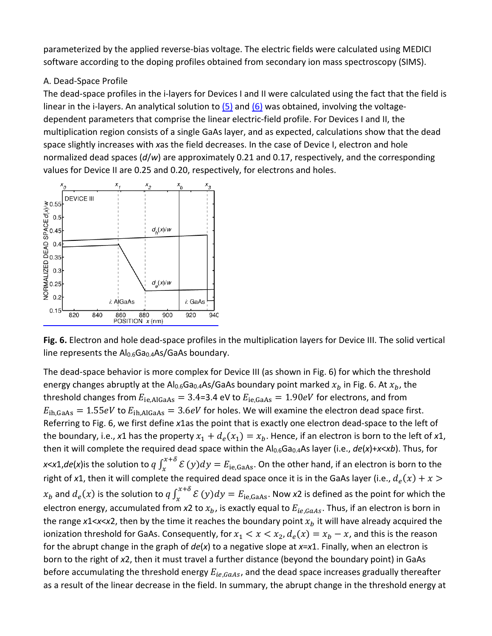parameterized by the applied reverse-bias voltage. The electric fields were calculated using MEDICI software according to the doping profiles obtained from secondary ion mass spectroscopy (SIMS).

#### A. Dead-Space Profile

The dead-space profiles in the i-layers for Devices I and II were calculated using the fact that the field is linear in the i-layers. An analytical solution to  $(5)$  and  $(6)$  was obtained, involving the voltagedependent parameters that comprise the linear electric-field profile. For Devices I and II, the multiplication region consists of a single GaAs layer, and as expected, calculations show that the dead space slightly increases with *x*as the field decreases. In the case of Device I, electron and hole normalized dead spaces (*d*/*w*) are approximately 0.21 and 0.17, respectively, and the corresponding values for Device II are 0.25 and 0.20, respectively, for electrons and holes.



**Fig. 6.** Electron and hole dead-space profiles in the multiplication layers for Device III. The solid vertical line represents the  $Al<sub>0.6</sub>Ga<sub>0.4</sub>As/GaAs$  boundary.

The dead-space behavior is more complex for Device III (as shown in Fig. 6) for which the threshold energy changes abruptly at the Al<sub>0.6</sub>Ga<sub>0.4</sub>As/GaAs boundary point marked  $x_h$  in Fig. 6. At  $x_h$ , the threshold changes from  $E_{ie,AlGaAs} = 3.4$ =3.4 eV to  $E_{ie,GaAs} = 1.90 eV$  for electrons, and from  $E_{\text{ih,GaAs}} = 1.55 eV$  to  $E_{\text{ih,AlGaAs}} = 3.6 eV$  for holes. We will examine the electron dead space first. Referring to Fig. 6, we first define *x*1as the point that is exactly one electron dead-space to the left of the boundary, i.e., x1 has the property  $x_1 + d_e(x_1) = x_b$ . Hence, if an electron is born to the left of x1, then it will complete the required dead space within the Al<sub>0.6</sub>Ga<sub>0.4</sub>As layer (i.e.,  $de(x) + x < x b$ ). Thus, for *x*<*x*1,*de*(*x*)is the solution to  $q \int_x^{x+\delta} E(y) dy = E_{ie,GaAs}$ . On the other hand, if an electron is born to the right of x1, then it will complete the required dead space once it is in the GaAs layer (i.e.,  $d_e(x) + x > 0$  $x_b$  and  $d_e(x)$  is the solution to  $q \int_x^{x+\delta} E(y) dy = E_{ie,GaAs}$ . Now x2 is defined as the point for which the electron energy, accumulated from  $x^2$  to  $x_b$ , is exactly equal to  $E_{ie,GaAs}$ . Thus, if an electron is born in the range  $x1 < x < x2$ , then by the time it reaches the boundary point  $x<sub>b</sub>$  it will have already acquired the ionization threshold for GaAs. Consequently, for  $x_1 < x < x_2$ ,  $d_e(x) = x_b - x$ , and this is the reason for the abrupt change in the graph of *de*(*x*) to a negative slope at *x*=*x*1. Finally, when an electron is born to the right of *x*2, then it must travel a further distance (beyond the boundary point) in GaAs before accumulating the threshold energy  $E_{ie,GaAs}$ , and the dead space increases gradually thereafter as a result of the linear decrease in the field. In summary, the abrupt change in the threshold energy at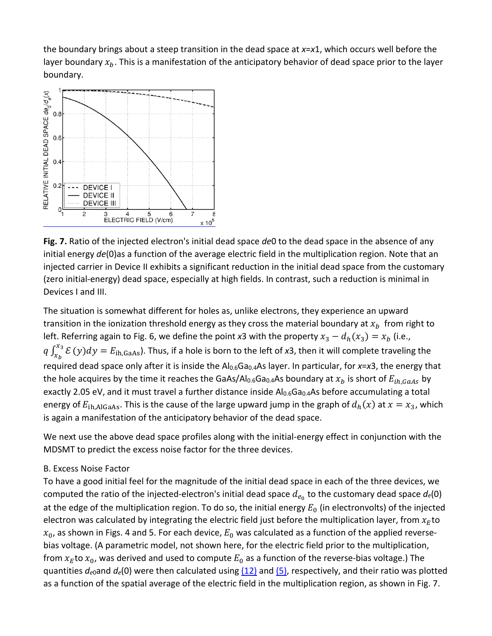the boundary brings about a steep transition in the dead space at *x*=*x*1, which occurs well before the layer boundary  $x_b$ . This is a manifestation of the anticipatory behavior of dead space prior to the layer boundary.



**Fig. 7.** Ratio of the injected electron's initial dead space *de*0 to the dead space in the absence of any initial energy *de*(0)as a function of the average electric field in the multiplication region. Note that an injected carrier in Device II exhibits a significant reduction in the initial dead space from the customary (zero initial-energy) dead space, especially at high fields. In contrast, such a reduction is minimal in Devices I and III.

The situation is somewhat different for holes as, unlike electrons, they experience an upward transition in the ionization threshold energy as they cross the material boundary at  $x<sub>b</sub>$  from right to left. Referring again to Fig. 6, we define the point *x*3 with the property  $x_3 - d_h(x_3) = x_b$  (i.e.,  $q \int_{x_b}^{x_3} E(y) dy = E_{ih,GaAs}$ ). Thus, if a hole is born to the left of *x*3, then it will complete traveling the required dead space only after it is inside the Al<sub>0.6</sub>Ga<sub>0.4</sub>As layer. In particular, for x=x3, the energy that the hole acquires by the time it reaches the GaAs/Al<sub>0.6</sub>Ga<sub>0.4</sub>As boundary at  $x_b$  is short of  $E_{ih,GaAs}$  by exactly 2.05 eV, and it must travel a further distance inside Al0.6Ga0.4As before accumulating a total energy of  $E_{ih,AlGaAs}$ . This is the cause of the large upward jump in the graph of  $d_h(x)$  at  $x = x_3$ , which is again a manifestation of the anticipatory behavior of the dead space.

We next use the above dead space profiles along with the initial-energy effect in conjunction with the MDSMT to predict the excess noise factor for the three devices.

#### B. Excess Noise Factor

To have a good initial feel for the magnitude of the initial dead space in each of the three devices, we computed the ratio of the injected-electron's initial dead space  $d_{e_0}$  to the customary dead space  $d_e(0)$ at the edge of the multiplication region. To do so, the initial energy  $E_0$  (in electronvolts) of the injected electron was calculated by integrating the electric field just before the multiplication layer, from  $x_E$ to  $x_0$ , as shown in Figs. 4 and 5. For each device,  $E_0$  was calculated as a function of the applied reversebias voltage. (A parametric model, not shown here, for the electric field prior to the multiplication, from  $x_E$  to  $x_0$ , was derived and used to compute  $E_0$  as a function of the reverse-bias voltage.) The quantities *de*0and *de*(0) were then calculated using [\(12\)](https://ieeexplore.ieee.org/document/#deqn12) and [\(5\),](https://ieeexplore.ieee.org/document/#deqn5) respectively, and their ratio was plotted as a function of the spatial average of the electric field in the multiplication region, as shown in Fig. 7.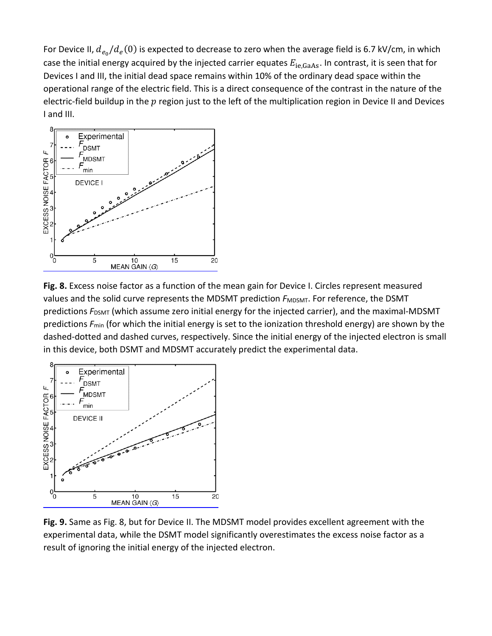For Device II,  $d_{e_0}/d_e(0)$  is expected to decrease to zero when the average field is 6.7 kV/cm, in which case the initial energy acquired by the injected carrier equates  $E_{ie,GaAs}$ . In contrast, it is seen that for Devices I and III, the initial dead space remains within 10% of the ordinary dead space within the operational range of the electric field. This is a direct consequence of the contrast in the nature of the electric-field buildup in the  $p$  region just to the left of the multiplication region in Device II and Devices I and III.



**Fig. 8.** Excess noise factor as a function of the mean gain for Device I. Circles represent measured values and the solid curve represents the MDSMT prediction  $F_{MDSMT}$ . For reference, the DSMT predictions  $F_{\text{DSMT}}$  (which assume zero initial energy for the injected carrier), and the maximal-MDSMT predictions *F*min (for which the initial energy is set to the ionization threshold energy) are shown by the dashed-dotted and dashed curves, respectively. Since the initial energy of the injected electron is small in this device, both DSMT and MDSMT accurately predict the experimental data.



**Fig. 9.** Same as Fig. 8, but for Device II. The MDSMT model provides excellent agreement with the experimental data, while the DSMT model significantly overestimates the excess noise factor as a result of ignoring the initial energy of the injected electron.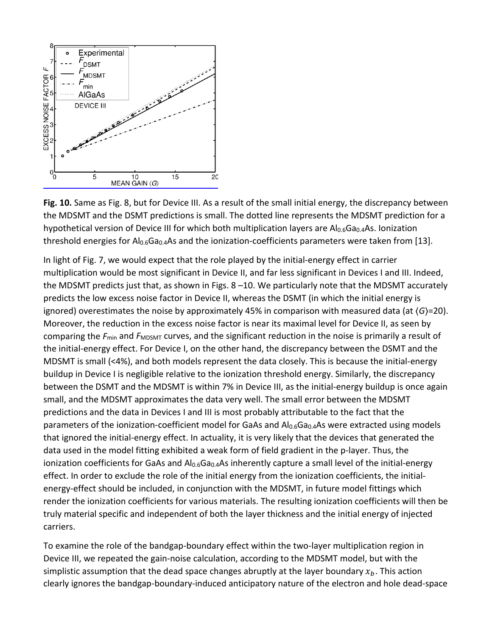

**Fig. 10.** Same as Fig. 8, but for Device III. As a result of the small initial energy, the discrepancy between the MDSMT and the DSMT predictions is small. The dotted line represents the MDSMT prediction for a hypothetical version of Device III for which both multiplication layers are Al<sub>0.6</sub>Ga<sub>0.4</sub>As. Ionization threshold energies for Al<sub>0.6</sub>Ga<sub>0.4</sub>As and the ionization-coefficients parameters were taken from [13].

In light of Fig. 7, we would expect that the role played by the initial-energy effect in carrier multiplication would be most significant in Device II, and far less significant in Devices I and III. Indeed, the MDSMT predicts just that, as shown in Figs. 8 –10. We particularly note that the MDSMT accurately predicts the low excess noise factor in Device II, whereas the DSMT (in which the initial energy is ignored) overestimates the noise by approximately 45% in comparison with measured data (at ⟨*G*⟩=20). Moreover, the reduction in the excess noise factor is near its maximal level for Device II, as seen by comparing the *F*<sub>min</sub> and *F*<sub>MDSMT</sub> curves, and the significant reduction in the noise is primarily a result of the initial-energy effect. For Device I, on the other hand, the discrepancy between the DSMT and the MDSMT is small (<4%), and both models represent the data closely. This is because the initial-energy buildup in Device I is negligible relative to the ionization threshold energy. Similarly, the discrepancy between the DSMT and the MDSMT is within 7% in Device III, as the initial-energy buildup is once again small, and the MDSMT approximates the data very well. The small error between the MDSMT predictions and the data in Devices I and III is most probably attributable to the fact that the parameters of the ionization-coefficient model for GaAs and  $Al_{0.6}Ga_{0.4}As$  were extracted using models that ignored the initial-energy effect. In actuality, it is very likely that the devices that generated the data used in the model fitting exhibited a weak form of field gradient in the p-layer. Thus, the ionization coefficients for GaAs and Al<sub>0.6</sub>Ga<sub>0.4</sub>As inherently capture a small level of the initial-energy effect. In order to exclude the role of the initial energy from the ionization coefficients, the initialenergy-effect should be included, in conjunction with the MDSMT, in future model fittings which render the ionization coefficients for various materials. The resulting ionization coefficients will then be truly material specific and independent of both the layer thickness and the initial energy of injected carriers.

To examine the role of the bandgap-boundary effect within the two-layer multiplication region in Device III, we repeated the gain-noise calculation, according to the MDSMT model, but with the simplistic assumption that the dead space changes abruptly at the layer boundary  $x<sub>b</sub>$ . This action clearly ignores the bandgap-boundary-induced anticipatory nature of the electron and hole dead-space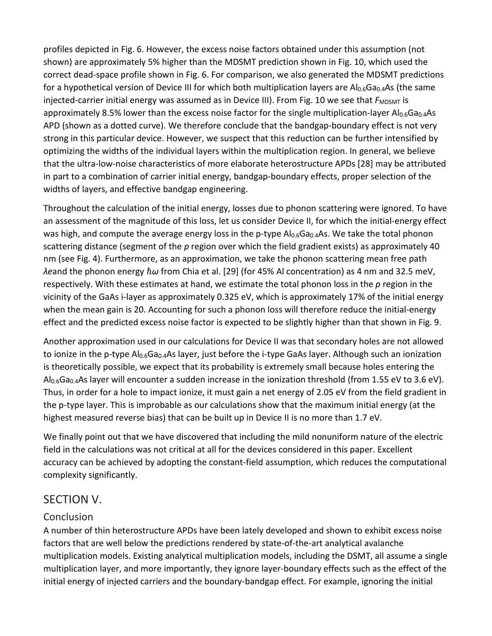profiles depicted in Fig. 6. However, the excess noise factors obtained under this assumption (not shown) are approximately 5% higher than the MDSMT prediction shown in Fig. 10, which used the correct dead-space profile shown in Fig. 6. For comparison, we also generated the MDSMT predictions for a hypothetical version of Device III for which both multiplication layers are Al<sub>0.6</sub>Ga<sub>0.4</sub>As (the same injected-carrier initial energy was assumed as in Device III). From Fig. 10 we see that  $F_{MDSMT}$  is approximately 8.5% lower than the excess noise factor for the single multiplication-layer  $Al_{0.6}Ga_{0.4}As$ APD (shown as a dotted curve). We therefore conclude that the bandgap-boundary effect is not very strong in this particular device. However, we suspect that this reduction can be further intensified by optimizing the widths of the individual layers within the multiplication region. In general, we believe that the ultra-low-noise characteristics of more elaborate heterostructure APDs [28] may be attributed in part to a combination of carrier initial energy, bandgap-boundary effects, proper selection of the widths of layers, and effective bandgap engineering.

Throughout the calculation of the initial energy, losses due to phonon scattering were ignored. To have an assessment of the magnitude of this loss, let us consider Device II, for which the initial-energy effect was high, and compute the average energy loss in the p-type Al0.6Ga0.4As. We take the total phonon scattering distance (segment of the *p* region over which the field gradient exists) as approximately 40 nm (see Fig. 4). Furthermore, as an approximation, we take the phonon scattering mean free path *λe*and the phonon energy ℏ*ω* from Chia et al. [29] (for 45% Al concentration) as 4 nm and 32.5 meV, respectively. With these estimates at hand, we estimate the total phonon loss in the *p* region in the vicinity of the GaAs i-layer as approximately 0.325 eV, which is approximately 17% of the initial energy when the mean gain is 20. Accounting for such a phonon loss will therefore reduce the initial-energy effect and the predicted excess noise factor is expected to be slightly higher than that shown in Fig. 9.

Another approximation used in our calculations for Device II was that secondary holes are not allowed to ionize in the p-type Al<sub>0.6</sub>Ga<sub>0.4</sub>As layer, just before the i-type GaAs layer. Although such an ionization is theoretically possible, we expect that its probability is extremely small because holes entering the  $Al<sub>0.6</sub>Ga<sub>0.4</sub>As layer will encounter a sudden increase in the ionization threshold (from 1.55 eV to 3.6 eV).$ Thus, in order for a hole to impact ionize, it must gain a net energy of 2.05 eV from the field gradient in the p-type layer. This is improbable as our calculations show that the maximum initial energy (at the highest measured reverse bias) that can be built up in Device II is no more than 1.7 eV.

We finally point out that we have discovered that including the mild nonuniform nature of the electric field in the calculations was not critical at all for the devices considered in this paper. Excellent accuracy can be achieved by adopting the constant-field assumption, which reduces the computational complexity significantly.

## SECTION V.

## **Conclusion**

A number of thin heterostructure APDs have been lately developed and shown to exhibit excess noise factors that are well below the predictions rendered by state-of-the-art analytical avalanche multiplication models. Existing analytical multiplication models, including the DSMT, all assume a single multiplication layer, and more importantly, they ignore layer-boundary effects such as the effect of the initial energy of injected carriers and the boundary-bandgap effect. For example, ignoring the initial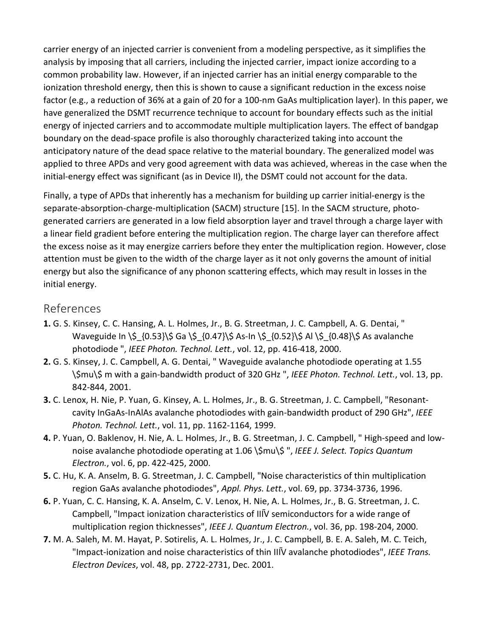carrier energy of an injected carrier is convenient from a modeling perspective, as it simplifies the analysis by imposing that all carriers, including the injected carrier, impact ionize according to a common probability law. However, if an injected carrier has an initial energy comparable to the ionization threshold energy, then this is shown to cause a significant reduction in the excess noise factor (e.g., a reduction of 36% at a gain of 20 for a 100-nm GaAs multiplication layer). In this paper, we have generalized the DSMT recurrence technique to account for boundary effects such as the initial energy of injected carriers and to accommodate multiple multiplication layers. The effect of bandgap boundary on the dead-space profile is also thoroughly characterized taking into account the anticipatory nature of the dead space relative to the material boundary. The generalized model was applied to three APDs and very good agreement with data was achieved, whereas in the case when the initial-energy effect was significant (as in Device II), the DSMT could not account for the data.

Finally, a type of APDs that inherently has a mechanism for building up carrier initial-energy is the separate-absorption-charge-multiplication (SACM) structure [15]. In the SACM structure, photogenerated carriers are generated in a low field absorption layer and travel through a charge layer with a linear field gradient before entering the multiplication region. The charge layer can therefore affect the excess noise as it may energize carriers before they enter the multiplication region. However, close attention must be given to the width of the charge layer as it not only governs the amount of initial energy but also the significance of any phonon scattering effects, which may result in losses in the initial energy.

## References

- **1.** G. S. Kinsey, C. C. Hansing, A. L. Holmes, Jr., B. G. Streetman, J. C. Campbell, A. G. Dentai, " Waveguide In \\$  $\{0.53\}\$ \$ Ga \\$  $\{0.47\}\$ \$ As-In \\$  $\{0.52\}\$ \$ Al \\$  $\{0.48\}\$ \$ As avalanche photodiode ", *IEEE Photon. Technol. Lett.*, vol. 12, pp. 416-418, 2000.
- **2.** G. S. Kinsey, J. C. Campbell, A. G. Dentai, " Waveguide avalanche photodiode operating at 1.55 \\$mu\\$ m with a gain-bandwidth product of 320 GHz ", *IEEE Photon. Technol. Lett.*, vol. 13, pp. 842-844, 2001.
- **3.** C. Lenox, H. Nie, P. Yuan, G. Kinsey, A. L. Holmes, Jr., B. G. Streetman, J. C. Campbell, "Resonantcavity InGaAs-InAlAs avalanche photodiodes with gain-bandwidth product of 290 GHz", *IEEE Photon. Technol. Lett.*, vol. 11, pp. 1162-1164, 1999.
- **4.** P. Yuan, O. Baklenov, H. Nie, A. L. Holmes, Jr., B. G. Streetman, J. C. Campbell, " High-speed and lownoise avalanche photodiode operating at 1.06 \\$mu\\$ ", *IEEE J. Select. Topics Quantum Electron.*, vol. 6, pp. 422-425, 2000.
- **5.** C. Hu, K. A. Anselm, B. G. Streetman, J. C. Campbell, "Noise characteristics of thin multiplication region GaAs avalanche photodiodes", *Appl. Phys. Lett.*, vol. 69, pp. 3734-3736, 1996.
- **6.** P. Yuan, C. C. Hansing, K. A. Anselm, C. V. Lenox, H. Nie, A. L. Holmes, Jr., B. G. Streetman, J. C. Campbell, "Impact ionization characteristics of IIIV semiconductors for a wide range of multiplication region thicknesses", *IEEE J. Quantum Electron.*, vol. 36, pp. 198-204, 2000.
- **7.** M. A. Saleh, M. M. Hayat, P. Sotirelis, A. L. Holmes, Jr., J. C. Campbell, B. E. A. Saleh, M. C. Teich, "Impact-ionization and noise characteristics of thin III�V avalanche photodiodes", *IEEE Trans. Electron Devices*, vol. 48, pp. 2722-2731, Dec. 2001.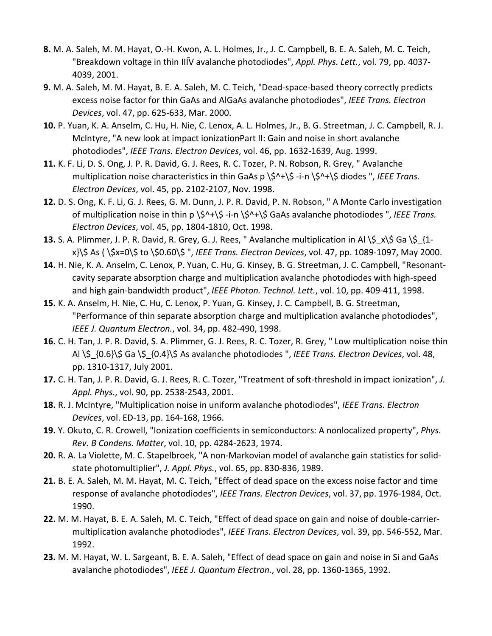- **8.** M. A. Saleh, M. M. Hayat, O.-H. Kwon, A. L. Holmes, Jr., J. C. Campbell, B. E. A. Saleh, M. C. Teich, "Breakdown voltage in thin IIIV avalanche photodiodes", Appl. Phys. Lett., vol. 79, pp. 4037-4039, 2001.
- **9.** M. A. Saleh, M. M. Hayat, B. E. A. Saleh, M. C. Teich, "Dead-space-based theory correctly predicts excess noise factor for thin GaAs and AlGaAs avalanche photodiodes", *IEEE Trans. Electron Devices*, vol. 47, pp. 625-633, Mar. 2000.
- **10.** P. Yuan, K. A. Anselm, C. Hu, H. Nie, C. Lenox, A. L. Holmes, Jr., B. G. Streetman, J. C. Campbell, R. J. McIntyre, "A new look at impact ionization Part II: Gain and noise in short avalanche photodiodes", *IEEE Trans. Electron Devices*, vol. 46, pp. 1632-1639, Aug. 1999.
- **11.** K. F. Li, D. S. Ong, J. P. R. David, G. J. Rees, R. C. Tozer, P. N. Robson, R. Grey, " Avalanche multiplication noise characteristics in thin GaAs p \\$^+\\$ -i-n \\$^+\\$ diodes ", *IEEE Trans. Electron Devices*, vol. 45, pp. 2102-2107, Nov. 1998.
- **12.** D. S. Ong, K. F. Li, G. J. Rees, G. M. Dunn, J. P. R. David, P. N. Robson, " A Monte Carlo investigation of multiplication noise in thin p \\$^+\\$ -i-n \\$^+\\$ GaAs avalanche photodiodes ", *IEEE Trans. Electron Devices*, vol. 45, pp. 1804-1810, Oct. 1998.
- **13.** S. A. Plimmer, J. P. R. David, R. Grey, G. J. Rees, " Avalanche multiplication in Al \\$ x\\$ Ga \\$ {1x}\\$ As ( \\$x=0\\$ to \\$0.60\\$ ", *IEEE Trans. Electron Devices*, vol. 47, pp. 1089-1097, May 2000.
- **14.** H. Nie, K. A. Anselm, C. Lenox, P. Yuan, C. Hu, G. Kinsey, B. G. Streetman, J. C. Campbell, "Resonantcavity separate absorption charge and multiplication avalanche photodiodes with high-speed and high gain-bandwidth product", *IEEE Photon. Technol. Lett.*, vol. 10, pp. 409-411, 1998.
- **15.** K. A. Anselm, H. Nie, C. Hu, C. Lenox, P. Yuan, G. Kinsey, J. C. Campbell, B. G. Streetman, "Performance of thin separate absorption charge and multiplication avalanche photodiodes", *IEEE J. Quantum Electron.*, vol. 34, pp. 482-490, 1998.
- **16.** C. H. Tan, J. P. R. David, S. A. Plimmer, G. J. Rees, R. C. Tozer, R. Grey, " Low multiplication noise thin Al \\$\_{0.6}\\$ Ga \\$\_{0.4}\\$ As avalanche photodiodes ", *IEEE Trans. Electron Devices*, vol. 48, pp. 1310-1317, July 2001.
- **17.** C. H. Tan, J. P. R. David, G. J. Rees, R. C. Tozer, "Treatment of soft-threshold in impact ionization", *J. Appl. Phys.*, vol. 90, pp. 2538-2543, 2001.
- **18.** R. J. McIntyre, "Multiplication noise in uniform avalanche photodiodes", *IEEE Trans. Electron Devices*, vol. ED-13, pp. 164-168, 1966.
- **19.** Y. Okuto, C. R. Crowell, "Ionization coefficients in semiconductors: A nonlocalized property", *Phys. Rev. B Condens. Matter*, vol. 10, pp. 4284-2623, 1974.
- **20.** R. A. La Violette, M. C. Stapelbroek, "A non-Markovian model of avalanche gain statistics for solidstate photomultiplier", *J. Appl. Phys.*, vol. 65, pp. 830-836, 1989.
- **21.** B. E. A. Saleh, M. M. Hayat, M. C. Teich, "Effect of dead space on the excess noise factor and time response of avalanche photodiodes", *IEEE Trans. Electron Devices*, vol. 37, pp. 1976-1984, Oct. 1990.
- **22.** M. M. Hayat, B. E. A. Saleh, M. C. Teich, "Effect of dead space on gain and noise of double-carriermultiplication avalanche photodiodes", *IEEE Trans. Electron Devices*, vol. 39, pp. 546-552, Mar. 1992.
- **23.** M. M. Hayat, W. L. Sargeant, B. E. A. Saleh, "Effect of dead space on gain and noise in Si and GaAs avalanche photodiodes", *IEEE J. Quantum Electron.*, vol. 28, pp. 1360-1365, 1992.